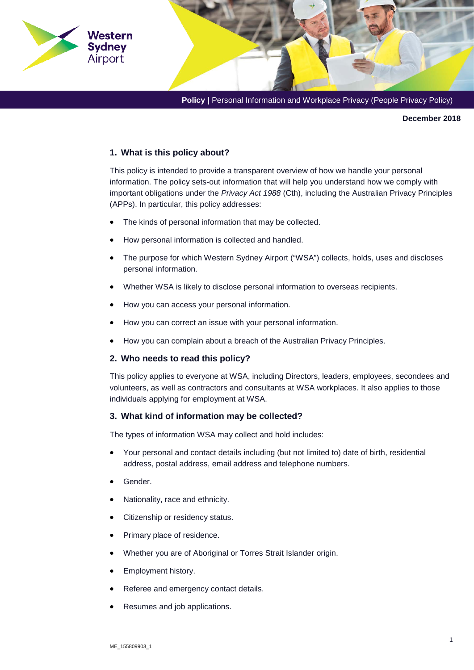**Policy | Personal Information and Workplace Privacy (People Privacy Policy)** 

**December 2018** 

### **1. What is this policy about?**

Western Sydney Airport

> This policy is intended to provide a transparent overview of how we handle your personal information. The policy sets-out information that will help you understand how we comply with important obligations under the *Privacy Act 1988* (Cth), including the Australian Privacy Principles (APPs). In particular, this policy addresses:

- The kinds of personal information that may be collected.
- How personal information is collected and handled.
- The purpose for which Western Sydney Airport ("WSA") collects, holds, uses and discloses personal information.
- Whether WSA is likely to disclose personal information to overseas recipients.
- How you can access your personal information.
- How you can correct an issue with your personal information.
- How you can complain about a breach of the Australian Privacy Principles.

### **2. Who needs to read this policy?**

This policy applies to everyone at WSA, including Directors, leaders, employees, secondees and volunteers, as well as contractors and consultants at WSA workplaces. It also applies to those individuals applying for employment at WSA.

#### **3. What kind of information may be collected?**

The types of information WSA may collect and hold includes:

- Your personal and contact details including (but not limited to) date of birth, residential address, postal address, email address and telephone numbers.
- Gender.
- Nationality, race and ethnicity.
- Citizenship or residency status.
- Primary place of residence.
- Whether you are of Aboriginal or Torres Strait Islander origin.
- Employment history.
- Referee and emergency contact details.
- Resumes and job applications.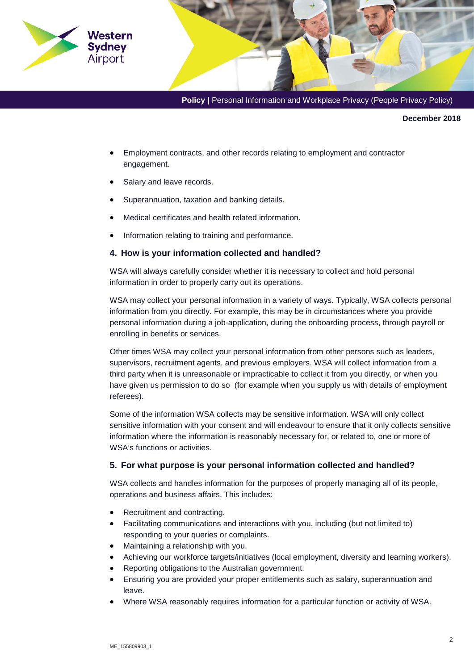

**December 2018** 

- Employment contracts, and other records relating to employment and contractor engagement.
- Salary and leave records.
- Superannuation, taxation and banking details.
- Medical certificates and health related information.
- Information relating to training and performance.

### **4. How is your information collected and handled?**

WSA will always carefully consider whether it is necessary to collect and hold personal information in order to properly carry out its operations.

WSA may collect your personal information in a variety of ways. Typically, WSA collects personal information from you directly. For example, this may be in circumstances where you provide personal information during a job-application, during the onboarding process, through payroll or enrolling in benefits or services.

Other times WSA may collect your personal information from other persons such as leaders, supervisors, recruitment agents, and previous employers. WSA will collect information from a third party when it is unreasonable or impracticable to collect it from you directly, or when you have given us permission to do so (for example when you supply us with details of employment referees).

Some of the information WSA collects may be sensitive information. WSA will only collect sensitive information with your consent and will endeavour to ensure that it only collects sensitive information where the information is reasonably necessary for, or related to, one or more of WSA's functions or activities.

### **5. For what purpose is your personal information collected and handled?**

WSA collects and handles information for the purposes of properly managing all of its people, operations and business affairs. This includes:

- Recruitment and contracting.
- Facilitating communications and interactions with you, including (but not limited to) responding to your queries or complaints.
- Maintaining a relationship with you.
- Achieving our workforce targets/initiatives (local employment, diversity and learning workers).
- Reporting obligations to the Australian government.
- Ensuring you are provided your proper entitlements such as salary, superannuation and leave.
- Where WSA reasonably requires information for a particular function or activity of WSA.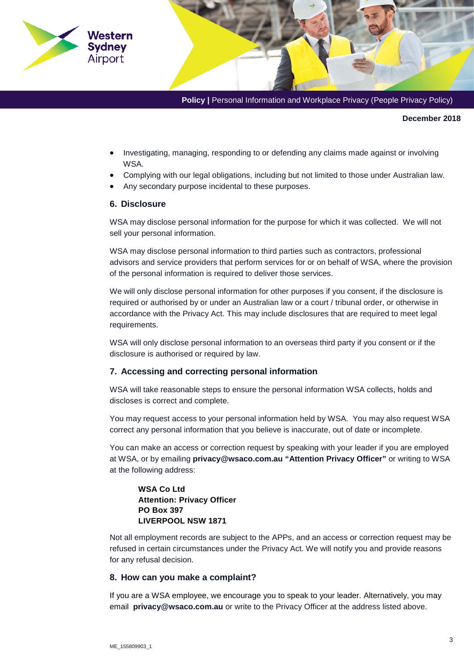

**Policy | Personal Information and Workplace Privacy (People Privacy Policy)** 

**December 2018** 

- Investigating, managing, responding to or defending any claims made against or involving **WSA**
- Complying with our legal obligations, including but not limited to those under Australian law.
- Any secondary purpose incidental to these purposes.

### **6. Disclosure**

WSA may disclose personal information for the purpose for which it was collected. We will not sell your personal information.

WSA may disclose personal information to third parties such as contractors, professional advisors and service providers that perform services for or on behalf of WSA, where the provision of the personal information is required to deliver those services.

We will only disclose personal information for other purposes if you consent, if the disclosure is required or authorised by or under an Australian law or a court / tribunal order, or otherwise in accordance with the Privacy Act. This may include disclosures that are required to meet legal requirements.

WSA will only disclose personal information to an overseas third party if you consent or if the disclosure is authorised or required by law.

### **7. Accessing and correcting personal information**

WSA will take reasonable steps to ensure the personal information WSA collects, holds and discloses is correct and complete.

You may request access to your personal information held by WSA. You may also request WSA correct any personal information that you believe is inaccurate, out of date or incomplete.

You can make an access or correction request by speaking with your leader if you are employed at WSA, or by emailing **privacy@wsaco.com.au "Attention Privacy Officer"** or writing to WSA at the following address:

## **WSA Co Ltd Attention: Privacy Officer PO Box 397 LIVERPOOL NSW 1871**

Not all employment records are subject to the APPs, and an access or correction request may be refused in certain circumstances under the Privacy Act. We will notify you and provide reasons for any refusal decision.

### **8. How can you make a complaint?**

If you are a WSA employee, we encourage you to speak to your leader. Alternatively, you may email **privacy@wsaco.com.au** or write to the Privacy Officer at the address listed above.